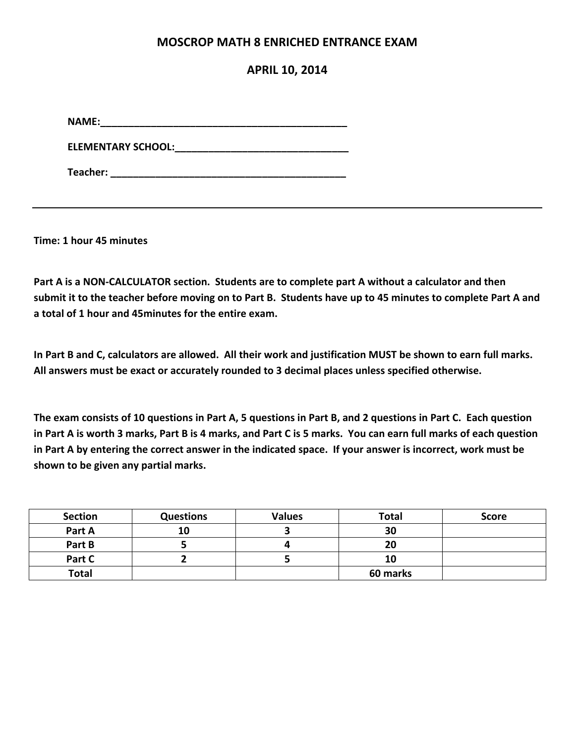### **MOSCROP MATH 8 ENRICHED ENTRANCE EXAM**

### **APRIL 10, 2014**

**NAME:\_\_\_\_\_\_\_\_\_\_\_\_\_\_\_\_\_\_\_\_\_\_\_\_\_\_\_\_\_\_\_\_\_\_\_\_\_\_\_\_\_\_\_\_**

**ELEMENTARY SCHOOL:\_\_\_\_\_\_\_\_\_\_\_\_\_\_\_\_\_\_\_\_\_\_\_\_\_\_\_\_\_\_\_**

**Teacher: \_\_\_\_\_\_\_\_\_\_\_\_\_\_\_\_\_\_\_\_\_\_\_\_\_\_\_\_\_\_\_\_\_\_\_\_\_\_\_\_\_\_**

**Time: 1 hour 45 minutes**

**Part A is a NON-CALCULATOR section. Students are to complete part A without a calculator and then submit it to the teacher before moving on to Part B. Students have up to 45 minutes to complete Part A and a total of 1 hour and 45minutes for the entire exam.** 

**In Part B and C, calculators are allowed. All their work and justification MUST be shown to earn full marks. All answers must be exact or accurately rounded to 3 decimal places unless specified otherwise.** 

**The exam consists of 10 questions in Part A, 5 questions in Part B, and 2 questions in Part C. Each question in Part A is worth 3 marks, Part B is 4 marks, and Part C is 5 marks. You can earn full marks of each question in Part A by entering the correct answer in the indicated space. If your answer is incorrect, work must be shown to be given any partial marks.** 

| <b>Section</b> | <b>Questions</b> | <b>Values</b> | <b>Total</b> | <b>Score</b> |
|----------------|------------------|---------------|--------------|--------------|
| Part A         | 10               |               | 30           |              |
| Part B         |                  |               | 20           |              |
| Part C         |                  |               | 10           |              |
| <b>Total</b>   |                  |               | 60 marks     |              |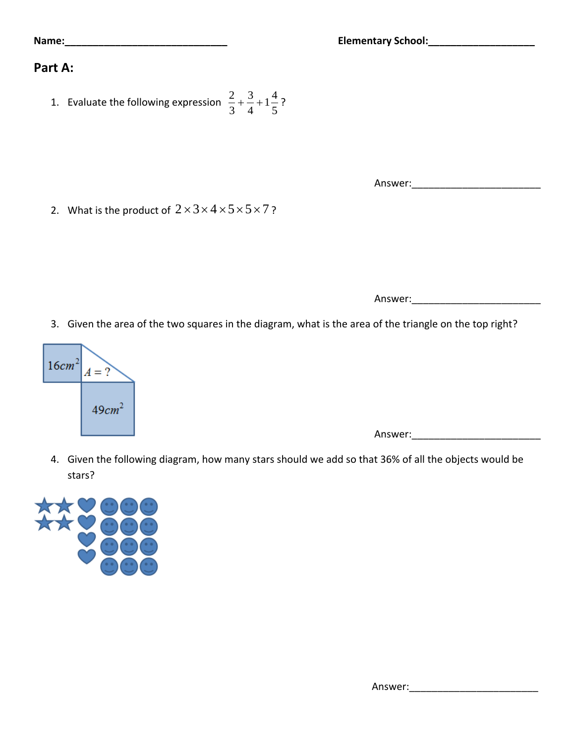## **Part A:**

1. Evaluate the following expression  $\frac{2}{3} + \frac{3}{4} + 1\frac{4}{5}$ 3 4 5  $+\frac{5}{4}+1\frac{1}{7}$ ?

2. What is the product of  $2 \times 3 \times 4 \times 5 \times 5 \times 7$ ?

Answer:

Answer:\_\_\_\_\_\_\_\_\_\_\_\_\_\_\_\_\_\_\_\_\_\_\_

3. Given the area of the two squares in the diagram, what is the area of the triangle on the top right?



Answer:\_\_\_\_\_\_\_\_\_\_\_\_\_\_\_\_\_\_\_\_\_\_\_

4. Given the following diagram, how many stars should we add so that 36% of all the objects would be stars?

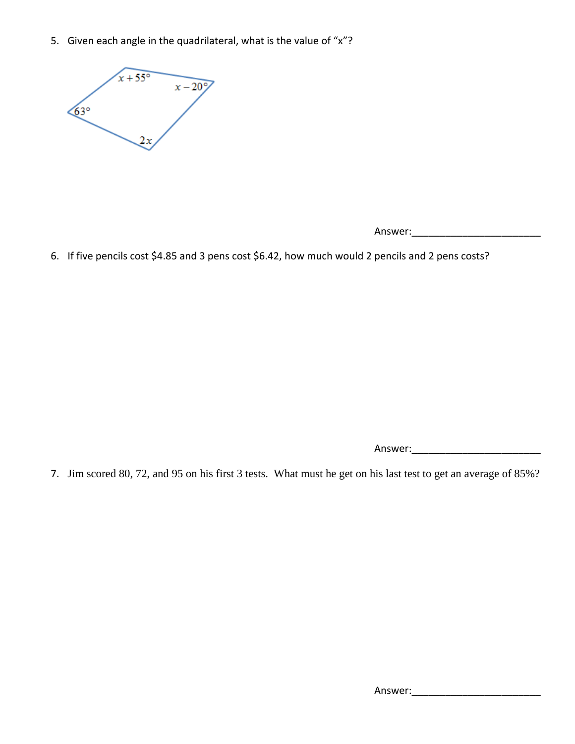5. Given each angle in the quadrilateral, what is the value of "x"?



6. If five pencils cost \$4.85 and 3 pens cost \$6.42, how much would 2 pencils and 2 pens costs?

Answer:\_\_\_\_\_\_\_\_\_\_\_\_\_\_\_\_\_\_\_\_\_\_\_

7. Jim scored 80, 72, and 95 on his first 3 tests. What must he get on his last test to get an average of 85%?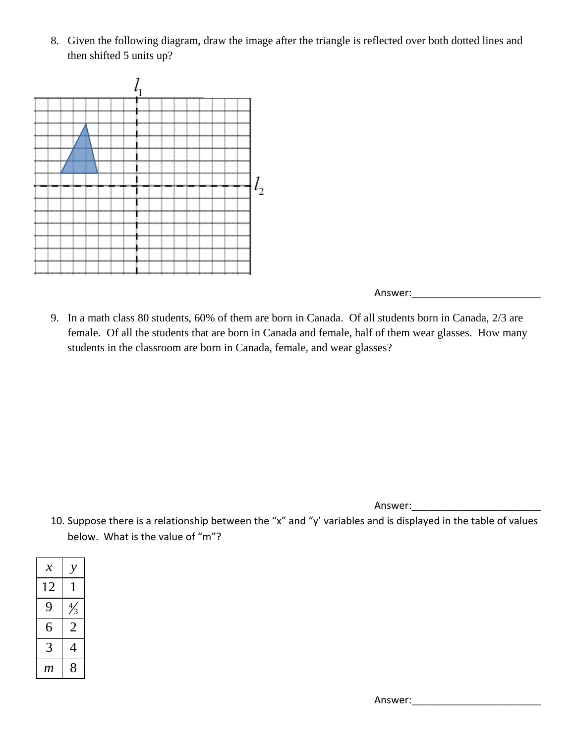8. Given the following diagram, draw the image after the triangle is reflected over both dotted lines and then shifted 5 units up?



Answer:

9. In a math class 80 students, 60% of them are born in Canada. Of all students born in Canada, 2/3 are female. Of all the students that are born in Canada and female, half of them wear glasses. How many students in the classroom are born in Canada, female, and wear glasses?

Answer:\_\_\_\_\_\_\_\_\_\_\_\_\_\_\_\_\_\_\_\_\_\_\_

10. Suppose there is a relationship between the "x" and "y' variables and is displayed in the table of values below. What is the value of "m"?

| $\boldsymbol{\mathcal{X}}$ |                |  |
|----------------------------|----------------|--|
| 12                         | 1              |  |
| 9                          | $\frac{4}{3}$  |  |
| 6                          | $\overline{2}$ |  |
| 3                          | 4              |  |
| m                          | 8              |  |

Answer: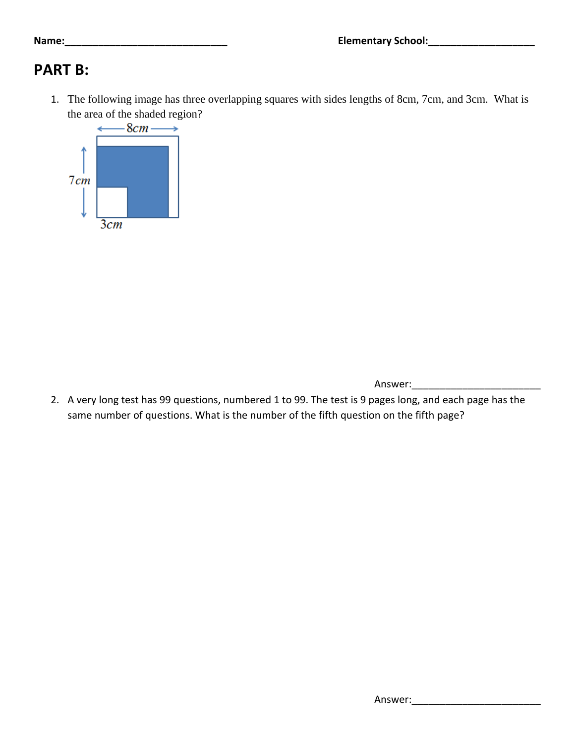# **PART B:**

1. The following image has three overlapping squares with sides lengths of 8cm, 7cm, and 3cm. What is the area of the shaded region?



Answer:\_\_\_\_\_\_\_\_\_\_\_\_\_\_\_\_\_\_\_\_\_\_\_

2. A very long test has 99 questions, numbered 1 to 99. The test is 9 pages long, and each page has the same number of questions. What is the number of the fifth question on the fifth page?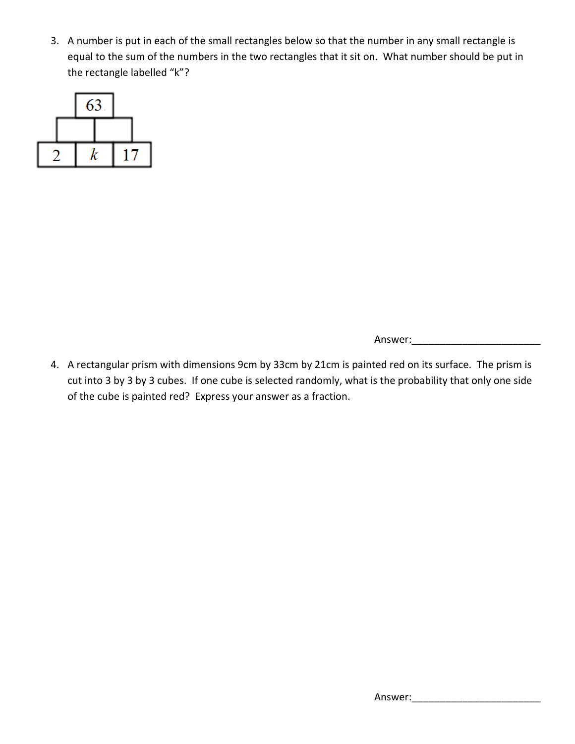3. A number is put in each of the small rectangles below so that the number in any small rectangle is equal to the sum of the numbers in the two rectangles that it sit on. What number should be put in the rectangle labelled "k"?



Answer:

4. A rectangular prism with dimensions 9cm by 33cm by 21cm is painted red on its surface. The prism is cut into 3 by 3 by 3 cubes. If one cube is selected randomly, what is the probability that only one side of the cube is painted red? Express your answer as a fraction.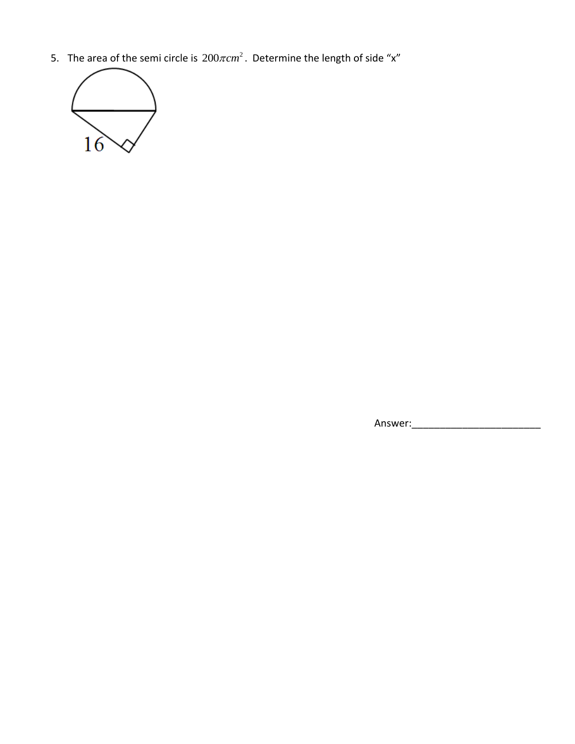5. The area of the semi circle is  $200\pi$ cm<sup>2</sup>. Determine the length of side "x"



Answer:\_\_\_\_\_\_\_\_\_\_\_\_\_\_\_\_\_\_\_\_\_\_\_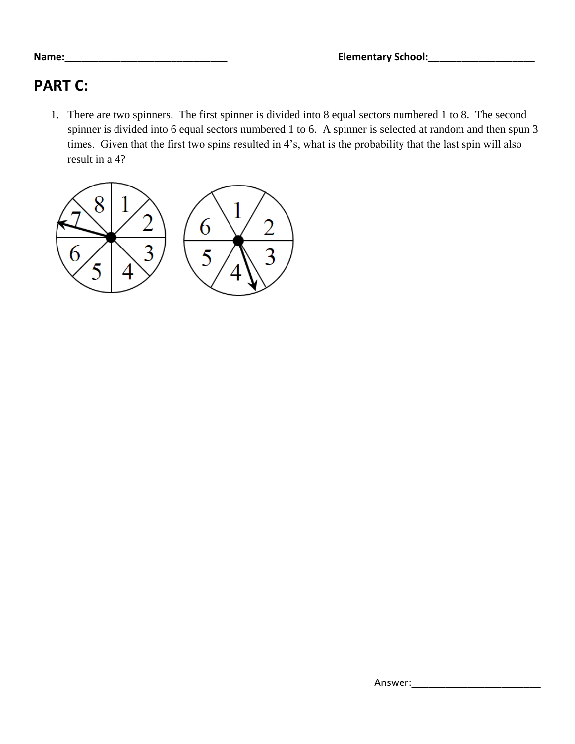## **PART C:**

1. There are two spinners. The first spinner is divided into 8 equal sectors numbered 1 to 8. The second spinner is divided into 6 equal sectors numbered 1 to 6. A spinner is selected at random and then spun 3 times. Given that the first two spins resulted in 4's, what is the probability that the last spin will also result in a 4?